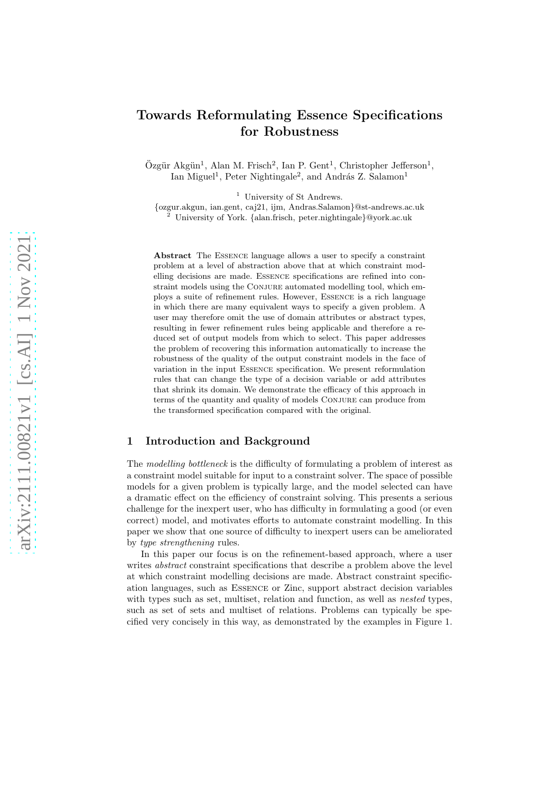# Towards Reformulating Essence Specifications for Robustness

Özgür Akgün<sup>1</sup>, Alan M. Frisch<sup>2</sup>, Ian P. Gent<sup>1</sup>, Christopher Jefferson<sup>1</sup>, Ian Miguel<sup>1</sup>, Peter Nightingale<sup>2</sup>, and András Z. Salamon<sup>1</sup>

<sup>1</sup> University of St Andrews.

{ozgur.akgun, ian.gent, caj21, ijm, Andras.Salamon}@st-andrews.ac.uk <sup>2</sup> University of York. {alan.frisch, peter.nightingale}@york.ac.uk

Abstract The Essence language allows a user to specify a constraint problem at a level of abstraction above that at which constraint modelling decisions are made. Essence specifications are refined into constraint models using the CONJURE automated modelling tool, which employs a suite of refinement rules. However, Essence is a rich language in which there are many equivalent ways to specify a given problem. A user may therefore omit the use of domain attributes or abstract types, resulting in fewer refinement rules being applicable and therefore a reduced set of output models from which to select. This paper addresses the problem of recovering this information automatically to increase the robustness of the quality of the output constraint models in the face of variation in the input Essence specification. We present reformulation rules that can change the type of a decision variable or add attributes that shrink its domain. We demonstrate the efficacy of this approach in terms of the quantity and quality of models Conjure can produce from the transformed specification compared with the original.

# 1 Introduction and Background

The modelling bottleneck is the difficulty of formulating a problem of interest as a constraint model suitable for input to a constraint solver. The space of possible models for a given problem is typically large, and the model selected can have a dramatic effect on the efficiency of constraint solving. This presents a serious challenge for the inexpert user, who has difficulty in formulating a good (or even correct) model, and motivates efforts to automate constraint modelling. In this paper we show that one source of difficulty to inexpert users can be ameliorated by type strengthening rules.

In this paper our focus is on the refinement-based approach, where a user writes *abstract* constraint specifications that describe a problem above the level at which constraint modelling decisions are made. Abstract constraint specification languages, such as Essence or Zinc, support abstract decision variables with types such as set, multiset, relation and function, as well as *nested* types, such as set of sets and multiset of relations. Problems can typically be specified very concisely in this way, as demonstrated by the examples in [Figure 1.](#page-2-0)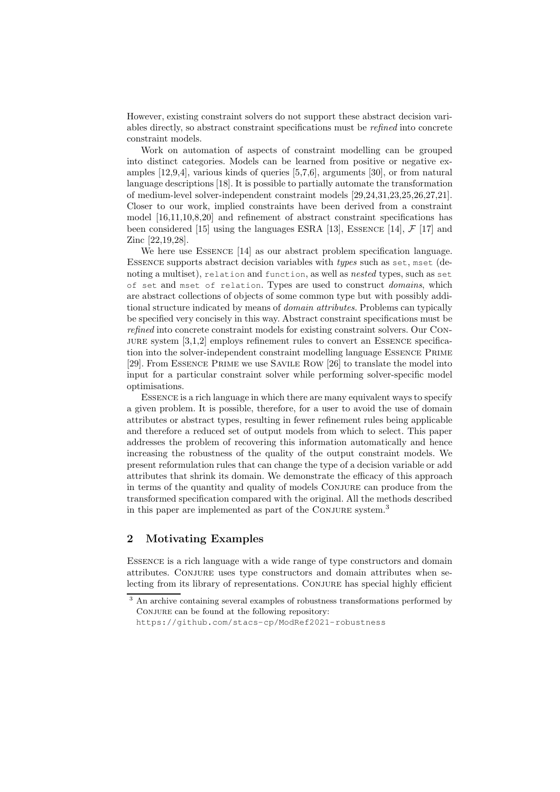However, existing constraint solvers do not support these abstract decision variables directly, so abstract constraint specifications must be refined into concrete constraint models.

Work on automation of aspects of constraint modelling can be grouped into distinct categories. Models can be learned from positive or negative examples [\[12,](#page-10-0)[9,](#page-10-1)[4\]](#page-10-2), various kinds of queries [\[5,](#page-10-3)[7](#page-10-4)[,6\]](#page-10-5), arguments [\[30\]](#page-11-0), or from natural language descriptions [\[18\]](#page-11-1). It is possible to partially automate the transformation of medium-level solver-independent constraint models [\[29,](#page-11-2)[24](#page-11-3)[,31](#page-11-4)[,23,](#page-11-5)[25,](#page-11-6)[26](#page-11-7)[,27](#page-11-8)[,21\]](#page-11-9). Closer to our work, implied constraints have been derived from a constraint model [\[16](#page-10-6)[,11](#page-10-7)[,10,](#page-10-8)[8](#page-10-9)[,20\]](#page-11-10) and refinement of abstract constraint specifications has been considered [\[15\]](#page-10-10) using the languages ESRA [\[13\]](#page-10-11), ESSENCE [\[14\]](#page-10-12),  $\mathcal{F}$  [\[17\]](#page-11-11) and Zinc [\[22](#page-11-12)[,19](#page-11-13)[,28\]](#page-11-14).

We here use Essence [\[14\]](#page-10-12) as our abstract problem specification language. Essence supports abstract decision variables with types such as set, mset (denoting a multiset), relation and function, as well as nested types, such as set of set and mset of relation. Types are used to construct domains, which are abstract collections of objects of some common type but with possibly additional structure indicated by means of *domain attributes*. Problems can typically be specified very concisely in this way. Abstract constraint specifications must be refined into concrete constraint models for existing constraint solvers. Our Con-JURE system  $[3,1,2]$  $[3,1,2]$  $[3,1,2]$  employs refinement rules to convert an ESSENCE specification into the solver-independent constraint modelling language Essence Prime [\[29\]](#page-11-2). From Essence Prime we use Savile Row [\[26\]](#page-11-7) to translate the model into input for a particular constraint solver while performing solver-specific model optimisations.

Essence is a rich language in which there are many equivalent ways to specify a given problem. It is possible, therefore, for a user to avoid the use of domain attributes or abstract types, resulting in fewer refinement rules being applicable and therefore a reduced set of output models from which to select. This paper addresses the problem of recovering this information automatically and hence increasing the robustness of the quality of the output constraint models. We present reformulation rules that can change the type of a decision variable or add attributes that shrink its domain. We demonstrate the efficacy of this approach in terms of the quantity and quality of models Conjure can produce from the transformed specification compared with the original. All the methods described in this paper are implemented as part of the CONJURE system.<sup>[3](#page-1-0)</sup>

# 2 Motivating Examples

Essence is a rich language with a wide range of type constructors and domain attributes. Conjure uses type constructors and domain attributes when selecting from its library of representations. Conjure has special highly efficient

<sup>&</sup>lt;sup>3</sup> An archive containing several examples of robustness transformations performed by CONJURE can be found at the following repository:

<span id="page-1-0"></span><https://github.com/stacs-cp/ModRef2021-robustness>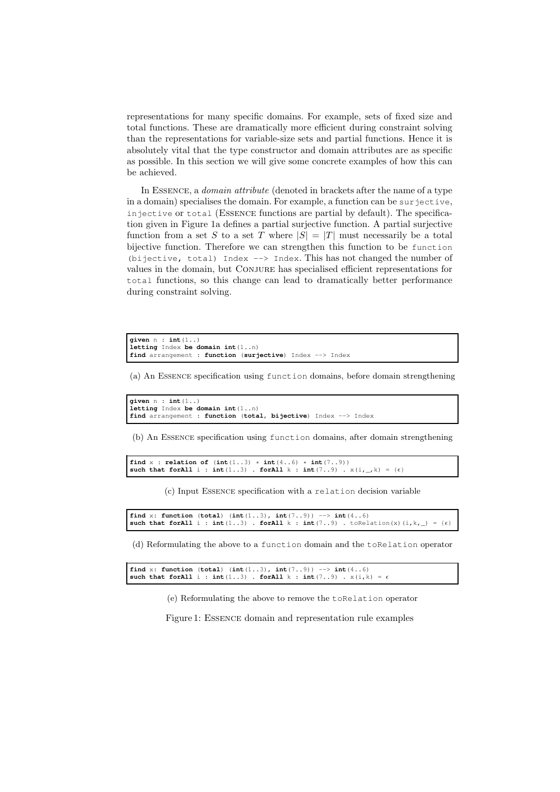representations for many specific domains. For example, sets of fixed size and total functions. These are dramatically more efficient during constraint solving than the representations for variable-size sets and partial functions. Hence it is absolutely vital that the type constructor and domain attributes are as specific as possible. In this section we will give some concrete examples of how this can be achieved.

In Essence, a domain attribute (denoted in brackets after the name of a type in a domain) specialises the domain. For example, a function can be surjective, injective or total (Essence functions are partial by default). The specification given in Figure [1a](#page-2-1) defines a partial surjective function. A partial surjective function from a set S to a set T where  $|S| = |T|$  must necessarily be a total bijective function. Therefore we can strengthen this function to be function (bijective, total) Index --> Index. This has not changed the number of values in the domain, but Conjure has specialised efficient representations for total functions, so this change can lead to dramatically better performance during constraint solving.

```
given n : int(1..)
letting Index be domain int(1..n)
find arrangement : function (surjective) Index --> Index
```
(a) An Essence specification using function domains, before domain strengthening

```
given n : int(1..)
letting Index be domain int(1..n)
find arrangement : function (total, bijective) Index --> Index
```
<span id="page-2-2"></span>(b) An Essence specification using function domains, after domain strengthening

```
find x : relation of (int(1..3) * int(4..6) * int(7..9))<br>such that forAll i : int(1..3). forAll k : int(7..9).
                                                     such that i : int(7..9) . x(i, \_k) = {\epsilon}
```
(c) Input Essence specification with a relation decision variable

```
find x: function (total) (int(1..3), int(7..9)) --> int(4..6)
such that forAll i : int(1..3). forAll k : int(7..9). toRelation(x)(i,k, ) = \{ \epsilon \}
```
(d) Reformulating the above to a function domain and the toRelation operator

```
find x: function (total) (int(1..3), int(7..9)) --> int(4..6)
such that forAll i : int(1..3) . forAll k : int(7..9) . x(i,k) = e
```
(e) Reformulating the above to remove the toRelation operator

Figure 1: Essence domain and representation rule examples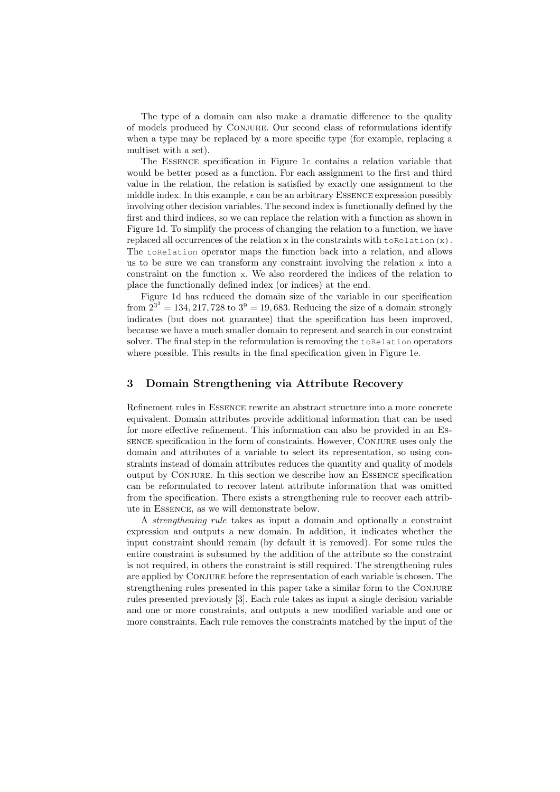The type of a domain can also make a dramatic difference to the quality of models produced by Conjure. Our second class of reformulations identify when a type may be replaced by a more specific type (for example, replacing a multiset with a set).

The Essence specification in Figure [1c](#page-2-2) contains a relation variable that would be better posed as a function. For each assignment to the first and third value in the relation, the relation is satisfied by exactly one assignment to the middle index. In this example,  $\epsilon$  can be an arbitrary ESSENCE expression possibly involving other decision variables. The second index is functionally defined by the first and third indices, so we can replace the relation with a function as shown in Figure [1d.](#page-2-3) To simplify the process of changing the relation to a function, we have replaced all occurrences of the relation  $x$  in the constraints with to Relation(x). The toRelation operator maps the function back into a relation, and allows us to be sure we can transform any constraint involving the relation x into a constraint on the function x. We also reordered the indices of the relation to place the functionally defined index (or indices) at the end.

Figure [1d](#page-2-3) has reduced the domain size of the variable in our specification from  $2^{3^3} = 134, 217, 728$  to  $3^9 = 19, 683$ . Reducing the size of a domain strongly indicates (but does not guarantee) that the specification has been improved, because we have a much smaller domain to represent and search in our constraint solver. The final step in the reformulation is removing the toRelation operators where possible. This results in the final specification given in Figure [1e.](#page-2-4)

# 3 Domain Strengthening via Attribute Recovery

Refinement rules in Essence rewrite an abstract structure into a more concrete equivalent. Domain attributes provide additional information that can be used for more effective refinement. This information can also be provided in an Essence specification in the form of constraints. However, Conjure uses only the domain and attributes of a variable to select its representation, so using constraints instead of domain attributes reduces the quantity and quality of models output by Conjure. In this section we describe how an Essence specification can be reformulated to recover latent attribute information that was omitted from the specification. There exists a strengthening rule to recover each attribute in Essence, as we will demonstrate below.

A strengthening rule takes as input a domain and optionally a constraint expression and outputs a new domain. In addition, it indicates whether the input constraint should remain (by default it is removed). For some rules the entire constraint is subsumed by the addition of the attribute so the constraint is not required, in others the constraint is still required. The strengthening rules are applied by Conjure before the representation of each variable is chosen. The strengthening rules presented in this paper take a similar form to the Conjure rules presented previously [\[3\]](#page-10-13). Each rule takes as input a single decision variable and one or more constraints, and outputs a new modified variable and one or more constraints. Each rule removes the constraints matched by the input of the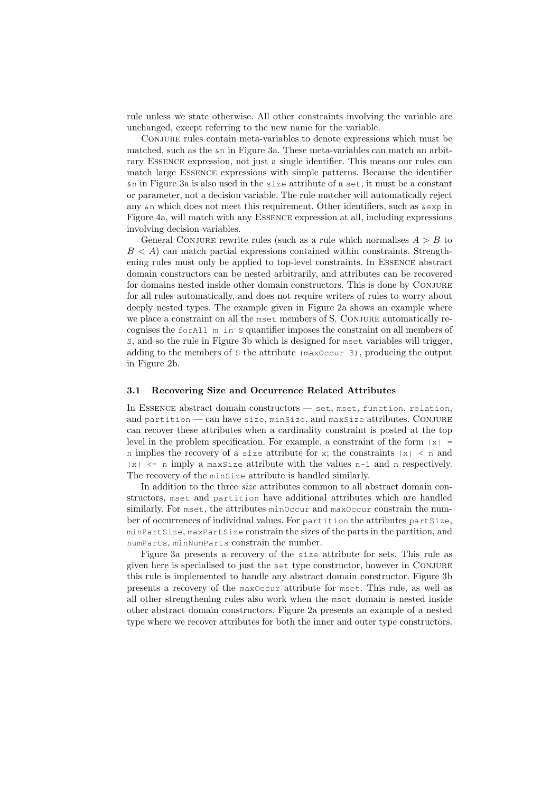rule unless we state otherwise. All other constraints involving the variable are unchanged, except referring to the new name for the variable.

Conjure rules contain meta-variables to denote expressions which must be matched, such as the  $\epsilon_n$  in [Figure 3a.](#page-5-0) These meta-variables can match an arbitrary Essence expression, not just a single identifier. This means our rules can match large Essence expressions with simple patterns. Because the identifier &n in [Figure 3a](#page-5-0) is also used in the size attribute of a set, it must be a constant or parameter, not a decision variable. The rule matcher will automatically reject any  $\⊂>an$  which does not meet this requirement. Other identifiers, such as  $\⊂>exp$  in Figure [4a,](#page-6-0) will match with any Essence expression at all, including expressions involving decision variables.

General CONJURE rewrite rules (such as a rule which normalises  $A > B$  to  $B < A$ ) can match partial expressions contained within constraints. Strengthening rules must only be applied to top-level constraints. In Essence abstract domain constructors can be nested arbitrarily, and attributes can be recovered for domains nested inside other domain constructors. This is done by Conjure for all rules automatically, and does not require writers of rules to worry about deeply nested types. The example given in [Figure 2a](#page-5-1) shows an example where we place a constraint on all the mset members of S. CONJURE automatically recognises the forAll m in S quantifier imposes the constraint on all members of S, and so the rule in [Figure 3b](#page-5-2) which is designed for mset variables will trigger, adding to the members of S the attribute (maxOccur 3), producing the output in [Figure 2b.](#page-5-3)

## <span id="page-4-0"></span>3.1 Recovering Size and Occurrence Related Attributes

In Essence abstract domain constructors — set, mset, function, relation, and partition — can have size, minSize, and maxSize attributes. CONJURE can recover these attributes when a cardinality constraint is posted at the top level in the problem specification. For example, a constraint of the form  $|x|$  = n implies the recovery of a size attribute for x; the constraints  $|x| \le n$  and  $|x| \le n$  imply a maxsize attribute with the values n-1 and n respectively. The recovery of the minsize attribute is handled similarly.

In addition to the three *size* attributes common to all abstract domain constructors, mset and partition have additional attributes which are handled similarly. For mset, the attributes minOccur and maxOccur constrain the number of occurrences of individual values. For partition the attributes partSize, minPartSize, maxPartSize constrain the sizes of the parts in the partition, and numParts, minNumParts constrain the number.

[Figure 3a](#page-5-0) presents a recovery of the size attribute for sets. This rule as given here is specialised to just the set type constructor, however in Conjure this rule is implemented to handle any abstract domain constructor. [Figure 3b](#page-5-2) presents a recovery of the maxOccur attribute for mset. This rule, as well as all other strengthening rules also work when the mset domain is nested inside other abstract domain constructors. [Figure 2a](#page-5-1) presents an example of a nested type where we recover attributes for both the inner and outer type constructors.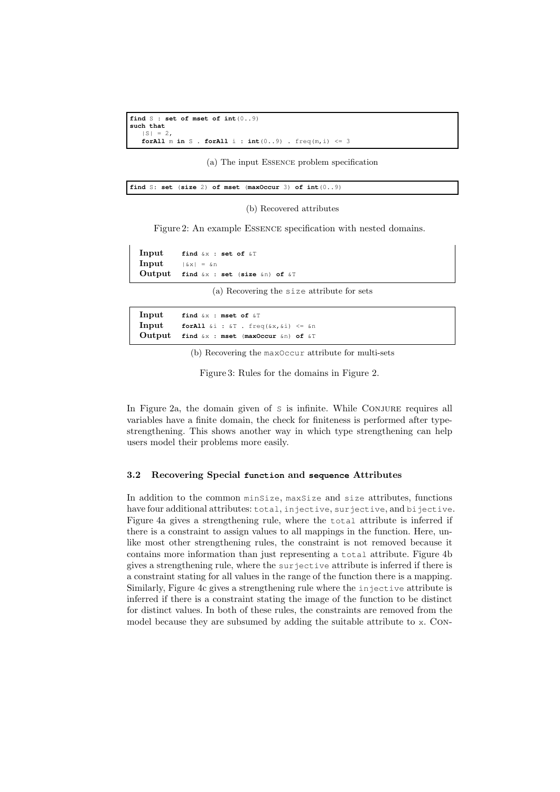```
find S : set of mset of int(0..9)
such that
   |S| = 2forAll m in S . forAll i : int(0..9) . freq(m, i) \leq 3
```
(a) The input Essence problem specification

<span id="page-5-3"></span>

#### (b) Recovered attributes

Figure 2: An example Essence specification with nested domains.

<span id="page-5-0"></span>Input **find** &x : **set of** &T **Input**  $|\&x| = \&n$ Output **find** &x : **set** (**size** &n) **of** &T

(a) Recovering the size attribute for sets

<span id="page-5-2"></span>

| Input find $\×$ : mset of $\&T$                                             |
|-----------------------------------------------------------------------------|
| <b>Input</b> for all $\&i : \&\mathbb{T}$ . freq( $\&x, \&i : \&\mathbb{T}$ |
| Output find $\&x$ : mset (maxOccur $\&n$ ) of $\&T$                         |

(b) Recovering the maxOccur attribute for multi-sets

Figure 3: Rules for the domains in Figure [2.](#page-5-4)

In [Figure 2a,](#page-5-1) the domain given of s is infinite. While CONJURE requires all variables have a finite domain, the check for finiteness is performed after typestrengthening. This shows another way in which type strengthening can help users model their problems more easily.

#### 3.2 Recovering Special **function** and **sequence** Attributes

In addition to the common minSize, maxSize and size attributes, functions have four additional attributes: total, injective, surjective, and bijective. [Figure 4a](#page-6-0) gives a strengthening rule, where the total attribute is inferred if there is a constraint to assign values to all mappings in the function. Here, unlike most other strengthening rules, the constraint is not removed because it contains more information than just representing a total attribute. [Figure 4b](#page-6-1) gives a strengthening rule, where the surjective attribute is inferred if there is a constraint stating for all values in the range of the function there is a mapping. Similarly, [Figure 4c](#page-6-2) gives a strengthening rule where the injective attribute is inferred if there is a constraint stating the image of the function to be distinct for distinct values. In both of these rules, the constraints are removed from the model because they are subsumed by adding the suitable attribute to x. Con-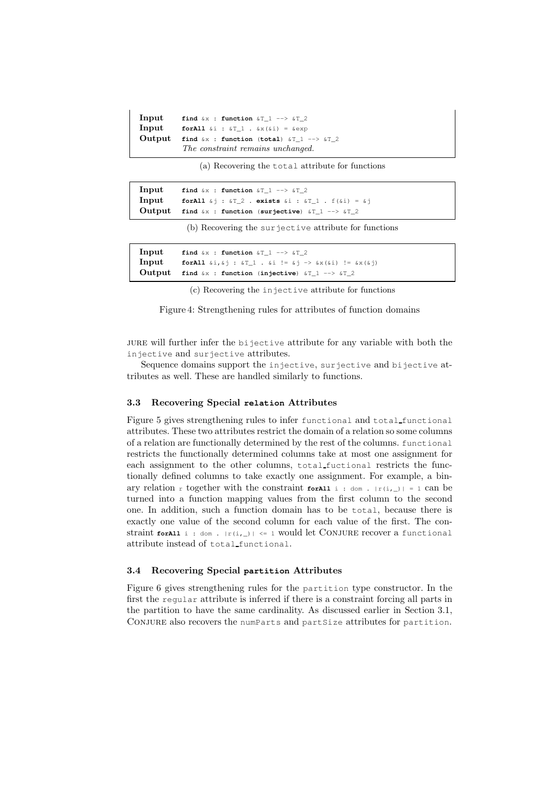```
Input find &x : function &T_1 --> &T_2
Input forAll \&i : \&T_1 \cdot \&x(\&i) = \&expOutput find &x : function (total) &T_1 --> &T_2
           The constraint remains unchanged.
```
(a) Recovering the total attribute for functions

<span id="page-6-1"></span>

| Input | find $&x$ : function $&T$ 1 --> $&T$ 2                                         |
|-------|--------------------------------------------------------------------------------|
|       | <b>Input</b> for All $\&i$ : $\&i$ 2. exists $\&i$ : $\&i$ 7.1. $f(\&i) = \&j$ |
|       | Output find $\&x$ : function (surjective) $\&T_1 \rightarrow \&T_2$            |

(b) Recovering the surjective attribute for functions

<span id="page-6-2"></span>

| Input | find $&x$ : function $&T$ 1 --> $&T$ 2                             |
|-------|--------------------------------------------------------------------|
|       |                                                                    |
|       | Output find $\&x$ : function (injective) $\&T_1 \rightarrow \&T_2$ |

(c) Recovering the injective attribute for functions

Figure 4: Strengthening rules for attributes of function domains

jure will further infer the bijective attribute for any variable with both the injective and surjective attributes.

Sequence domains support the injective, surjective and bijective attributes as well. These are handled similarly to functions.

#### <span id="page-6-3"></span>3.3 Recovering Special **relation** Attributes

[Figure 5](#page-7-0) gives strengthening rules to infer functional and total functional attributes. These two attributes restrict the domain of a relation so some columns of a relation are functionally determined by the rest of the columns. functional restricts the functionally determined columns take at most one assignment for each assignment to the other columns, total fuctional restricts the functionally defined columns to take exactly one assignment. For example, a binary relation r together with the constraint **forAll** i : dom.  $|r(i, )| = 1$  can be turned into a function mapping values from the first column to the second one. In addition, such a function domain has to be total, because there is exactly one value of the second column for each value of the first. The constraint **forall** i : dom.  $|r(i, \_)| \leq 1$  would let CONJURE recover a functional attribute instead of total functional.

# 3.4 Recovering Special **partition** Attributes

[Figure 6](#page-7-1) gives strengthening rules for the partition type constructor. In the first the regular attribute is inferred if there is a constraint forcing all parts in the partition to have the same cardinality. As discussed earlier in [Section 3.1,](#page-4-0) Conjure also recovers the numParts and partSize attributes for partition.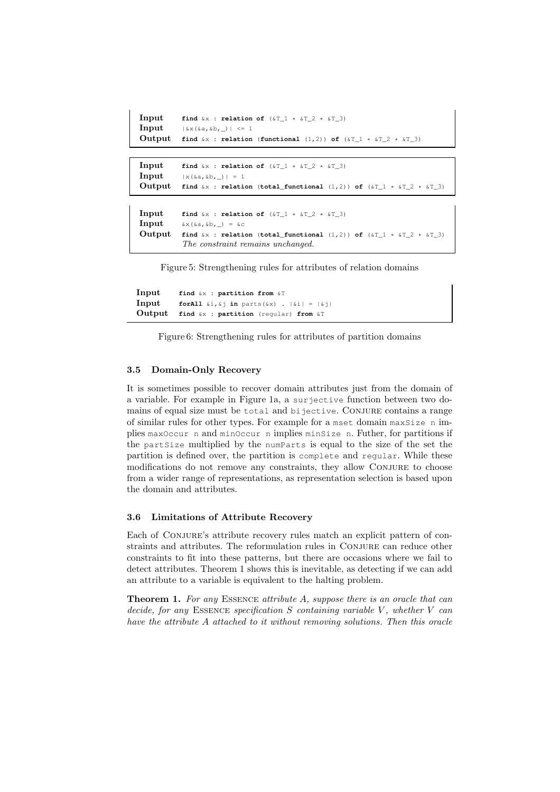```
Input find \&x : relation of (\&T_1 \times \&T_2 \times \&T_3)Input |\&x(\&a,\&b,\_\_\|)| \leq 1Output find \&x : relation (functional (1,2)) of (\&T_1 \cdot \&T_2 \cdot \&T_3)Input find \&x : relation of (\&T_1 \times \&T_2 \times \&T_3)Input \qquad |x(\&a,\&b,\_)| = 1Output find \&x : relation (total_functional (1,2)) of (\&x\text{T} * \&x\text{T} 2 * \&x\text{T} 3)
Input find \&x : relation of (\&T_1 \times \&T_2 \times \&T_3)Input \& x(\& a, \& b, \ ) = \& cOutput find \&x : relation (total_functional (1,2)) of (\&x\text{T} * \&x\text{T} 2 * \&x\text{T} 3)
             The constraint remains unchanged.
```
Figure 5: Strengthening rules for attributes of relation domains

```
Input find &x : partition from &T
Input forAll \&i, \&j in parts(\&x) . |\&i| = |\&j|Output find &x : partition (regular) from &T
```
Figure 6: Strengthening rules for attributes of partition domains

## 3.5 Domain-Only Recovery

It is sometimes possible to recover domain attributes just from the domain of a variable. For example in [Figure 1a,](#page-2-1) a surjective function between two domains of equal size must be total and bijective. Conjure contains a range of similar rules for other types. For example for a mset domain maxSize n implies maxOccur n and minOccur n implies minSize n. Futher, for partitions if the partSize multiplied by the numParts is equal to the size of the set the partition is defined over, the partition is complete and regular. While these modifications do not remove any constraints, they allow Conjure to choose from a wider range of representations, as representation selection is based upon the domain and attributes.

#### 3.6 Limitations of Attribute Recovery

Each of Conjure's attribute recovery rules match an explicit pattern of constraints and attributes. The reformulation rules in Conjure can reduce other constraints to fit into these patterns, but there are occasions where we fail to detect attributes. Theorem [1](#page-7-2) shows this is inevitable, as detecting if we can add an attribute to a variable is equivalent to the halting problem.

<span id="page-7-2"></span>**Theorem 1.** For any ESSENCE attribute A, suppose there is an oracle that can decide, for any ESSENCE specification  $S$  containing variable  $V$ , whether  $V$  can have the attribute A attached to it without removing solutions. Then this oracle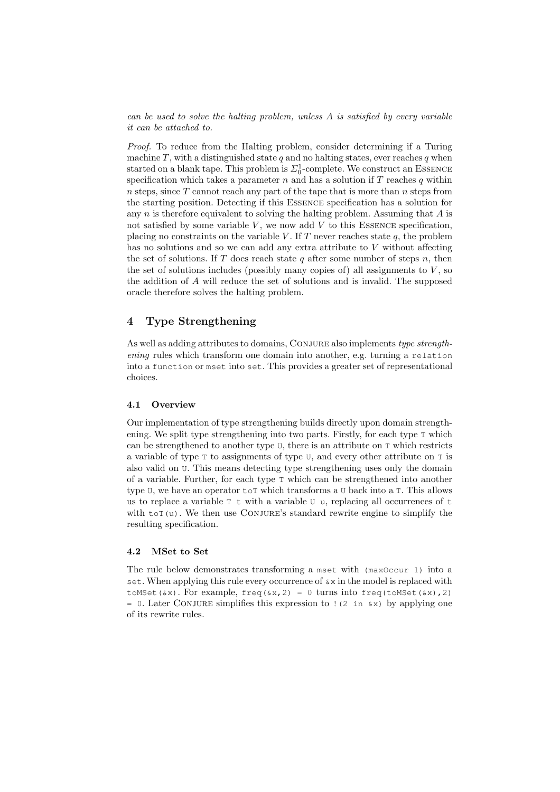can be used to solve the halting problem, unless A is satisfied by every variable it can be attached to.

Proof. To reduce from the Halting problem, consider determining if a Turing machine  $T$ , with a distinguished state  $q$  and no halting states, ever reaches  $q$  when started on a blank tape. This problem is  $\Sigma_0^1$ -complete. We construct an ESSENCE specification which takes a parameter  $n$  and has a solution if  $T$  reaches  $q$  within n steps, since  $T$  cannot reach any part of the tape that is more than  $n$  steps from the starting position. Detecting if this Essence specification has a solution for any  $n$  is therefore equivalent to solving the halting problem. Assuming that  $A$  is not satisfied by some variable  $V$ , we now add  $V$  to this ESSENCE specification, placing no constraints on the variable V. If  $T$  never reaches state  $q$ , the problem has no solutions and so we can add any extra attribute to V without affecting the set of solutions. If T does reach state q after some number of steps  $n$ , then the set of solutions includes (possibly many copies of) all assignments to  $V$ , so the addition of A will reduce the set of solutions and is invalid. The supposed oracle therefore solves the halting problem.

# 4 Type Strengthening

As well as adding attributes to domains, CONJURE also implements type strengthening rules which transform one domain into another, e.g. turning a relation into a function or mset into set. This provides a greater set of representational choices.

## 4.1 Overview

Our implementation of type strengthening builds directly upon domain strengthening. We split type strengthening into two parts. Firstly, for each type T which can be strengthened to another type  $U$ , there is an attribute on  $T$  which restricts a variable of type T to assignments of type U, and every other attribute on T is also valid on U. This means detecting type strengthening uses only the domain of a variable. Further, for each type T which can be strengthened into another type  $U$ , we have an operator  $\text{tot}$  which transforms a U back into a T. This allows us to replace a variable  $\tau$  t with a variable  $\sigma$  u, replacing all occurrences of t with  $\text{tor}(u)$ . We then use CONJURE's standard rewrite engine to simplify the resulting specification.

#### 4.2 MSet to Set

The rule below demonstrates transforming a mset with (maxOccur 1) into a set. When applying this rule every occurrence of  $\alpha x$  in the model is replaced with toMSet( $(xx)$ . For example, freq( $(xx, 2) = 0$  turns into freq(toMSet( $(xx)$ , 2) = 0. Later CONJURE simplifies this expression to  $(2 \text{ in } \&x)$  by applying one of its rewrite rules.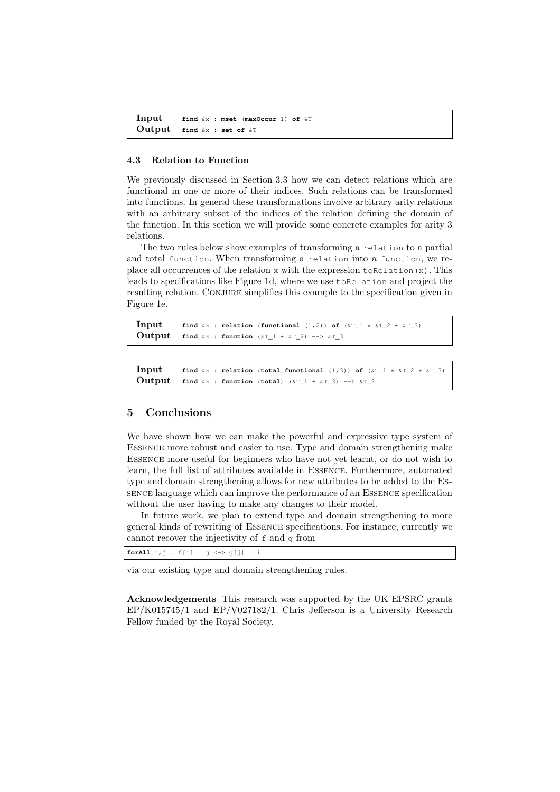```
Input find &x : mset (maxOccur 1) of &T
Output find &x : set of &T
```
## 4.3 Relation to Function

We previously discussed in [Section 3.3](#page-6-3) how we can detect relations which are functional in one or more of their indices. Such relations can be transformed into functions. In general these transformations involve arbitrary arity relations with an arbitrary subset of the indices of the relation defining the domain of the function. In this section we will provide some concrete examples for arity 3 relations.

The two rules below show examples of transforming a relation to a partial and total function. When transforming a relation into a function, we replace all occurrences of the relation  $x$  with the expression to Relation $(x)$ . This leads to specifications like [Figure 1d,](#page-2-3) where we use toRelation and project the resulting relation. CONJURE simplifies this example to the specification given in [Figure 1e.](#page-2-4)

```
Input find \&x : relation (functional (1,2)) of (\&x_1 + \&y_1 - \&z_2 + \&y_1 - 3)Output find &x : function (\&T_1 * \&T_2) --> &T_3
```

```
Input find &\&\times relation (total functional (1,3)) of (&\&\text{T} 1 * &\&\text{T} 2 * &\&\text{T} 3)
Output find &x : function (total) (&x_1 * x_1 - 3) \rightarrow -&x_1 - 2
```
# 5 Conclusions

We have shown how we can make the powerful and expressive type system of Essence more robust and easier to use. Type and domain strengthening make Essence more useful for beginners who have not yet learnt, or do not wish to learn, the full list of attributes available in Essence. Furthermore, automated type and domain strengthening allows for new attributes to be added to the Essence language which can improve the performance of an Essence specification without the user having to make any changes to their model.

In future work, we plan to extend type and domain strengthening to more general kinds of rewriting of Essence specifications. For instance, currently we cannot recover the injectivity of  $f$  and  $g$  from

**forAll**  $i, j$ ,  $f[i] = j \iff g[i] = i$ 

via our existing type and domain strengthening rules.

Acknowledgements This research was supported by the UK EPSRC grants EP/K015745/1 and EP/V027182/1. Chris Jefferson is a University Research Fellow funded by the Royal Society.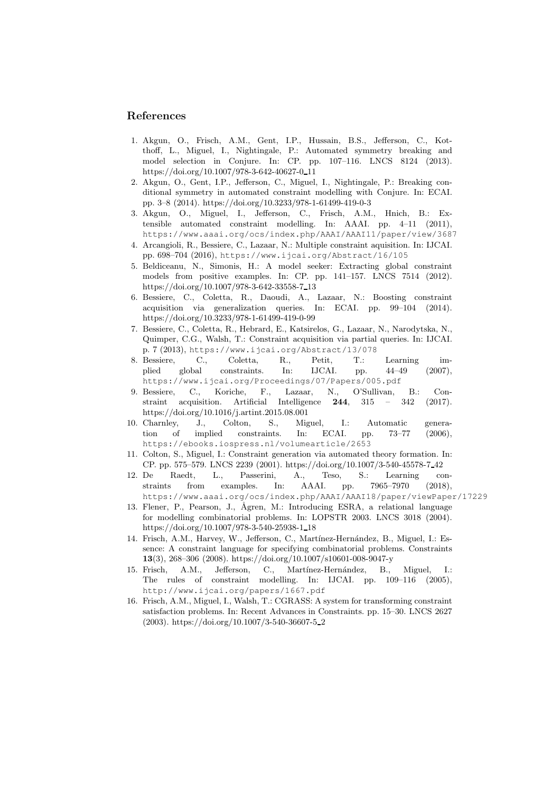# <span id="page-10-14"></span>References

- 1. Akgun, O., Frisch, A.M., Gent, I.P., Hussain, B.S., Jefferson, C., Kotthoff, L., Miguel, I., Nightingale, P.: Automated symmetry breaking and model selection in Conjure. In: CP. pp. 107–116. LNCS 8124 (2013). [https://doi.org/10.1007/978-3-642-40627-0](https://doi.org/10.1007/978-3-642-40627-0_11) 11
- <span id="page-10-15"></span>2. Akgun, O., Gent, I.P., Jefferson, C., Miguel, I., Nightingale, P.: Breaking conditional symmetry in automated constraint modelling with Conjure. In: ECAI. pp. 3–8 (2014).<https://doi.org/10.3233/978-1-61499-419-0-3>
- <span id="page-10-13"></span>3. Akgun, O., Miguel, I., Jefferson, C., Frisch, A.M., Hnich, B.: Extensible automated constraint modelling. In: AAAI. pp. 4–11 (2011), <https://www.aaai.org/ocs/index.php/AAAI/AAAI11/paper/view/3687>
- <span id="page-10-2"></span>4. Arcangioli, R., Bessiere, C., Lazaar, N.: Multiple constraint aquisition. In: IJCAI. pp. 698–704 (2016), <https://www.ijcai.org/Abstract/16/105>
- <span id="page-10-3"></span>5. Beldiceanu, N., Simonis, H.: A model seeker: Extracting global constraint models from positive examples. In: CP. pp. 141–157. LNCS 7514 (2012). [https://doi.org/10.1007/978-3-642-33558-7](https://doi.org/10.1007/978-3-642-33558-7_13) 13
- <span id="page-10-5"></span>6. Bessiere, C., Coletta, R., Daoudi, A., Lazaar, N.: Boosting constraint acquisition via generalization queries. In: ECAI. pp. 99–104 (2014). <https://doi.org/10.3233/978-1-61499-419-0-99>
- <span id="page-10-4"></span>7. Bessiere, C., Coletta, R., Hebrard, E., Katsirelos, G., Lazaar, N., Narodytska, N., Quimper, C.G., Walsh, T.: Constraint acquisition via partial queries. In: IJCAI. p. 7 (2013), <https://www.ijcai.org/Abstract/13/078>
- <span id="page-10-9"></span>8. Bessiere, C., Coletta, R., Petit, T.: Learning implied global constraints. In: IJCAI. pp. 44–49 (2007), plied global constraints. In: IJCAI. pp. 44–49 (2007), <https://www.ijcai.org/Proceedings/07/Papers/005.pdf>
- <span id="page-10-1"></span>9. Bessiere, C., Koriche, F., Lazaar, N., O'Sullivan, B.: Constraint acquisition. Artificial Intelligence 244, 315 – 342 (2017). <https://doi.org/10.1016/j.artint.2015.08.001>
- <span id="page-10-8"></span>10. Charnley, J., Colton, S., Miguel, I.: Automatic generation of implied constraints. In: ECAI. pp. 73–77 (2006), <https://ebooks.iospress.nl/volumearticle/2653>
- <span id="page-10-7"></span>11. Colton, S., Miguel, I.: Constraint generation via automated theory formation. In: CP. pp. 575–579. LNCS 2239 (2001). [https://doi.org/10.1007/3-540-45578-7](https://doi.org/10.1007/3-540-45578-7_42) 42
- <span id="page-10-0"></span>12. De Raedt, L., Passerini, A., Teso, S.: Learning constraints from examples. In: AAAI. pp. 7965–7970 (2018), <https://www.aaai.org/ocs/index.php/AAAI/AAAI18/paper/viewPaper/17229>
- <span id="page-10-11"></span>13. Flener, P., Pearson, J., Ågren, M.: Introducing ESRA, a relational language for modelling combinatorial problems. In: LOPSTR 2003. LNCS 3018 (2004). [https://doi.org/10.1007/978-3-540-25938-1](https://doi.org/10.1007/978-3-540-25938-1_18) 18
- <span id="page-10-12"></span>14. Frisch, A.M., Harvey, W., Jefferson, C., Martínez-Hernández, B., Miguel, I.: Essence: A constraint language for specifying combinatorial problems. Constraints 13(3), 268–306 (2008).<https://doi.org/10.1007/s10601-008-9047-y>
- <span id="page-10-10"></span>15. Frisch, A.M., Jefferson, C., Martínez-Hernández, B., Miguel, I.: The rules of constraint modelling. In: IJCAI. pp. 109–116 (2005), <http://www.ijcai.org/papers/1667.pdf>
- <span id="page-10-6"></span>16. Frisch, A.M., Miguel, I., Walsh, T.: CGRASS: A system for transforming constraint satisfaction problems. In: Recent Advances in Constraints. pp. 15–30. LNCS 2627 (2003). [https://doi.org/10.1007/3-540-36607-5](https://doi.org/10.1007/3-540-36607-5_2) 2